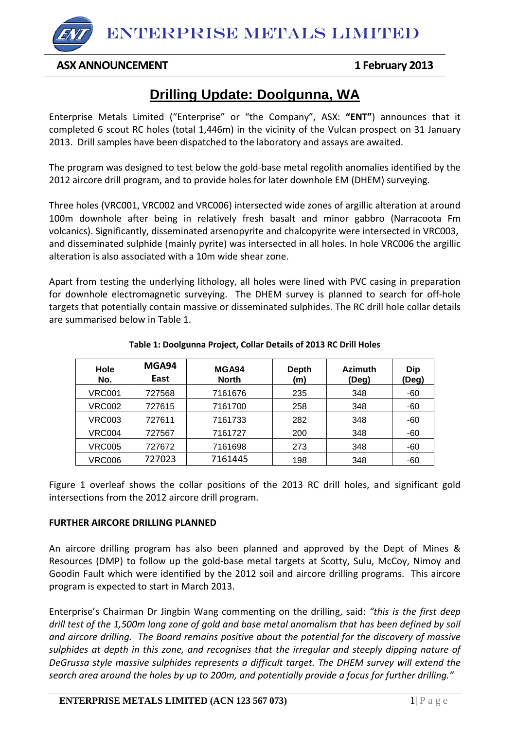ENTERPRISE METALS LIMITED

## **ASX ANNOUNCEMENT 1 February 2013**

# **Drilling Update: Doolgunna, WA**

Enterprise Metals Limited ("Enterprise" or "the Company", ASX: **"ENT"**) announces that it completed 6 scout RC holes (total 1,446m) in the vicinity of the Vulcan prospect on 31 January 2013. Drill samples have been dispatched to the laboratory and assays are awaited.

The program was designed to test below the gold-base metal regolith anomalies identified by the 2012 aircore drill program, and to provide holes for later downhole EM (DHEM) surveying.

Three holes (VRC001, VRC002 and VRC006) intersected wide zones of argillic alteration at around 100m downhole after being in relatively fresh basalt and minor gabbro (Narracoota Fm volcanics). Significantly, disseminated arsenopyrite and chalcopyrite were intersected in VRC003, and disseminated sulphide (mainly pyrite) was intersected in all holes. In hole VRC006 the argillic alteration is also associated with a 10m wide shear zone.

Apart from testing the underlying lithology, all holes were lined with PVC casing in preparation for downhole electromagnetic surveying. The DHEM survey is planned to search for off-hole targets that potentially contain massive or disseminated sulphides. The RC drill hole collar details are summarised below in Table 1.

| Hole<br>No.   | MGA94<br>East | MGA94<br><b>North</b> | <b>Depth</b><br>(m) | <b>Azimuth</b><br>(Deg) | <b>Dip</b><br>(Deg) |
|---------------|---------------|-----------------------|---------------------|-------------------------|---------------------|
| VRC001        | 727568        | 7161676               | 235                 | 348                     | $-60$               |
| <b>VRC002</b> | 727615        | 7161700               | 258                 | 348                     | -60                 |
| <b>VRC003</b> | 727611        | 7161733               | 282                 | 348                     | -60                 |
| <b>VRC004</b> | 727567        | 7161727               | 200                 | 348                     | -60                 |
| <b>VRC005</b> | 727672        | 7161698               | 273                 | 348                     | -60                 |
| <b>VRC006</b> | 727023        | 7161445               | 198                 | 348                     | -60                 |

#### **Table 1: Doolgunna Project, Collar Details of 2013 RC Drill Holes**

Figure 1 overleaf shows the collar positions of the 2013 RC drill holes, and significant gold intersections from the 2012 aircore drill program.

### **FURTHER AIRCORE DRILLING PLANNED**

An aircore drilling program has also been planned and approved by the Dept of Mines & Resources (DMP) to follow up the gold-base metal targets at Scotty, Sulu, McCoy, Nimoy and Goodin Fault which were identified by the 2012 soil and aircore drilling programs. This aircore program is expected to start in March 2013.

Enterprise's Chairman Dr Jingbin Wang commenting on the drilling, said: *"this is the first deep drill test of the 1,500m long zone of gold and base metal anomalism that has been defined by soil and aircore drilling. The Board remains positive about the potential for the discovery of massive sulphides at depth in this zone, and recognises that the irregular and steeply dipping nature of DeGrussa style massive sulphides represents a difficult target. The DHEM survey will extend the search area around the holes by up to 200m, and potentially provide a focus for further drilling."*